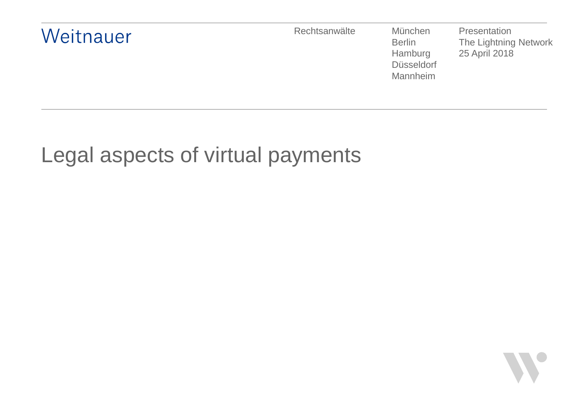

# Legal aspects of virtual payments

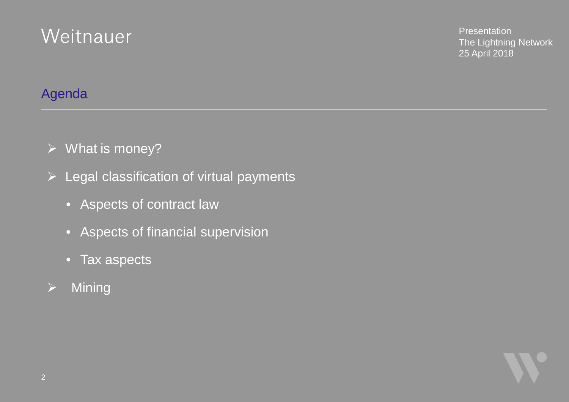**Presentation** The Lightning Network 25 April 2018

### Agenda

- $\triangleright$  What is money?
- $\triangleright$  Legal classification of virtual payments
	- Aspects of contract law
	- Aspects of financial supervision
	- Tax aspects
- $\triangleright$  Mining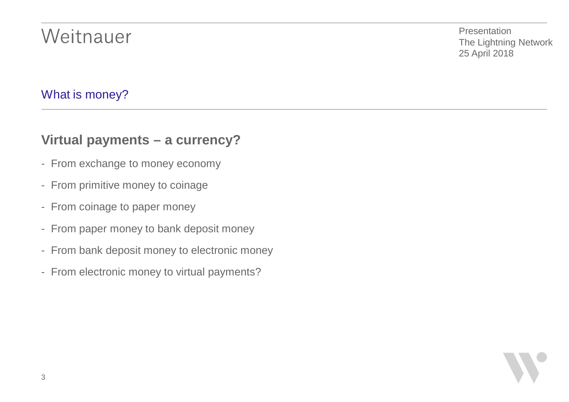**Presentation** The Lightning Network 25 April 2018

#### What is money?

#### **Virtual payments – a currency?**

- From exchange to money economy
- From primitive money to coinage
- From coinage to paper money
- From paper money to bank deposit money
- From bank deposit money to electronic money
- From electronic money to virtual payments?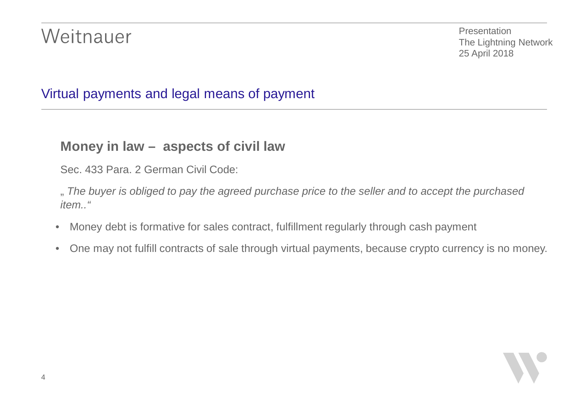**Presentation** The Lightning Network 25 April 2018

### Virtual payments and legal means of payment

#### **Money in law – aspects of civil law**

Sec. 433 Para. 2 German Civil Code:

" *The buyer is obliged to pay the agreed purchase price to the seller and to accept the purchased item.."*

- Money debt is formative for sales contract, fulfillment regularly through cash payment
- One may not fulfill contracts of sale through virtual payments, because crypto currency is no money.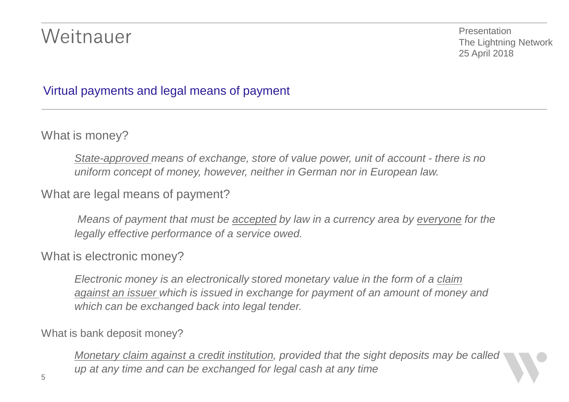Presentation The Lightning Network 25 April 2018

#### Virtual payments and legal means of payment

What is money?

*State-approved means of exchange, store of value power, unit of account - there is no uniform concept of money, however, neither in German nor in European law.*

What are legal means of payment?

*Means of payment that must be accepted by law in a currency area by everyone for the legally effective performance of a service owed.*

#### What is electronic money?

*Electronic money is an electronically stored monetary value in the form of a claim against an issuer which is issued in exchange for payment of an amount of money and which can be exchanged back into legal tender.*

What is bank deposit money?

*Monetary claim against a credit institution, provided that the sight deposits may be called up at any time and can be exchanged for legal cash at any time*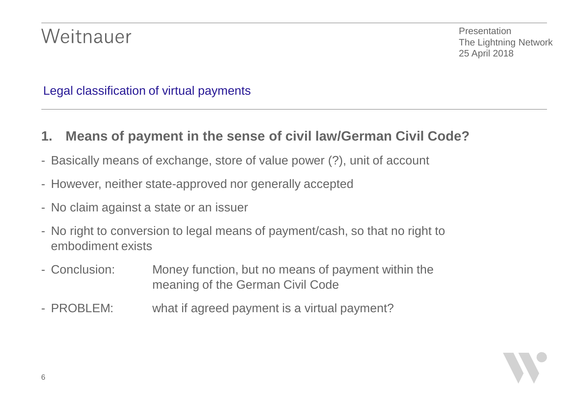Presentation The Lightning Network 25 April 2018

#### Legal classification of virtual payments

- **1. Means of payment in the sense of civil law/German Civil Code?**
- Basically means of exchange, store of value power (?), unit of account
- However, neither state-approved nor generally accepted
- No claim against a state or an issuer
- No right to conversion to legal means of payment/cash, so that no right to embodiment exists
- Conclusion: Money function, but no means of payment within the meaning of the German Civil Code
- PROBLEM: what if agreed payment is a virtual payment?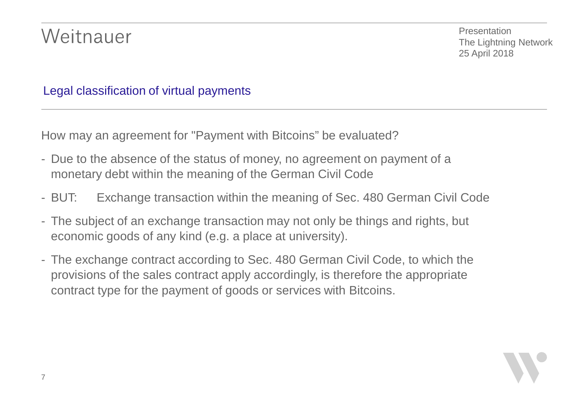**Presentation** The Lightning Network 25 April 2018

Legal classification of virtual payments

How may an agreement for "Payment with Bitcoins" be evaluated?

- Due to the absence of the status of money, no agreement on payment of a monetary debt within the meaning of the German Civil Code
- BUT: Exchange transaction within the meaning of Sec. 480 German Civil Code
- The subject of an exchange transaction may not only be things and rights, but economic goods of any kind (e.g. a place at university).
- The exchange contract according to Sec. 480 German Civil Code, to which the provisions of the sales contract apply accordingly, is therefore the appropriate contract type for the payment of goods or services with Bitcoins.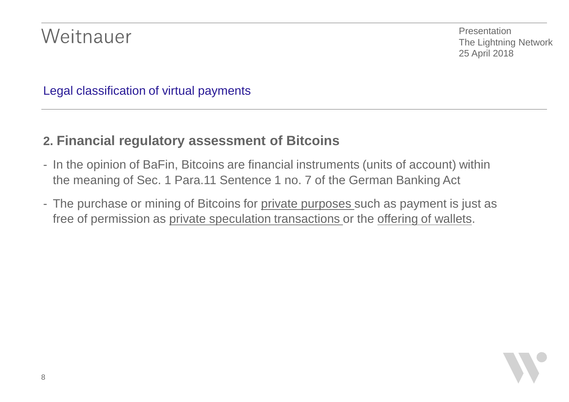**Presentation** The Lightning Network 25 April 2018

Legal classification of virtual payments

### **2. Financial regulatory assessment of Bitcoins**

- In the opinion of BaFin, Bitcoins are financial instruments (units of account) within the meaning of Sec. 1 Para.11 Sentence 1 no. 7 of the German Banking Act
- The purchase or mining of Bitcoins for private purposes such as payment is just as free of permission as private speculation transactions or the offering of wallets.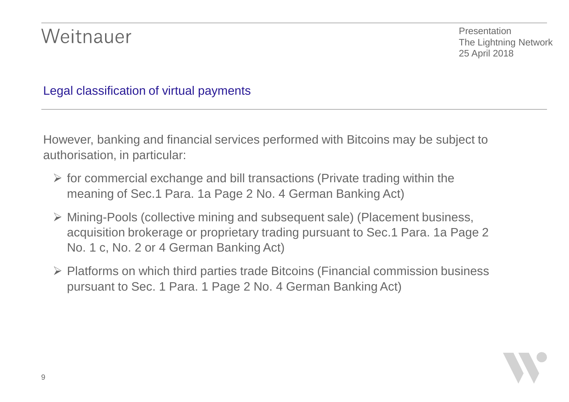Presentation The Lightning Network 25 April 2018

#### Legal classification of virtual payments

However, banking and financial services performed with Bitcoins may be subject to authorisation, in particular:

- $\triangleright$  for commercial exchange and bill transactions (Private trading within the meaning of Sec.1 Para. 1a Page 2 No. 4 German Banking Act)
- Ø Mining-Pools (collective mining and subsequent sale) (Placement business, acquisition brokerage or proprietary trading pursuant to Sec.1 Para. 1a Page 2 No. 1 c, No. 2 or 4 German Banking Act)
- $\triangleright$  Platforms on which third parties trade Bitcoins (Financial commission business pursuant to Sec. 1 Para. 1 Page 2 No. 4 German Banking Act)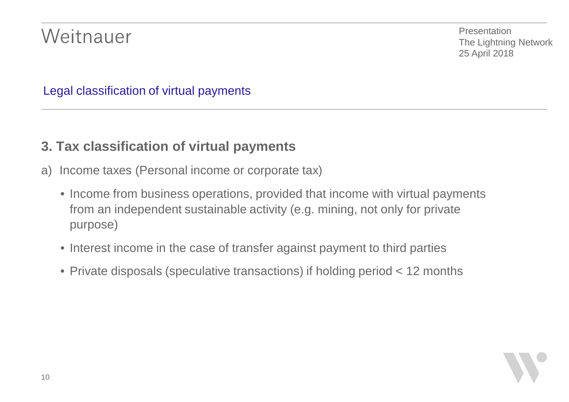Presentation The Lightning Network 25 April 2018

Legal classification of virtual payments

### **3. Tax classification of virtual payments**

- a) Income taxes (Personal income or corporate tax)
	- Income from business operations, provided that income with virtual payments from an independent sustainable activity (e.g. mining, not only for private purpose)
	- Interest income in the case of transfer against payment to third parties
	- Private disposals (speculative transactions) if holding period < 12 months

10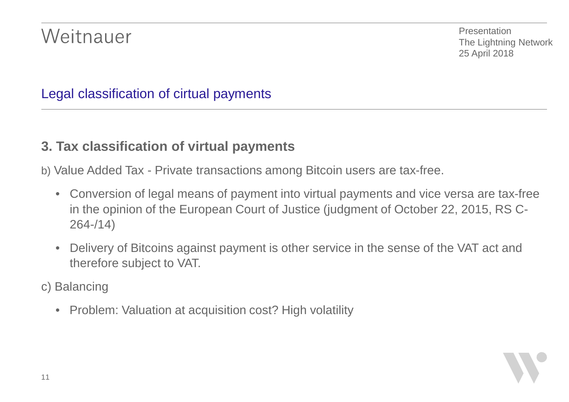Presentation The Lightning Network 25 April 2018

### Legal classification of cirtual payments

#### **3. Tax classification of virtual payments**

b) Value Added Tax - Private transactions among Bitcoin users are tax-free.

- Conversion of legal means of payment into virtual payments and vice versa are tax-free in the opinion of the European Court of Justice (judgment of October 22, 2015, RS C-264-/14)
- Delivery of Bitcoins against payment is other service in the sense of the VAT act and therefore subject to VAT.
- c) Balancing
	- Problem: Valuation at acquisition cost? High volatility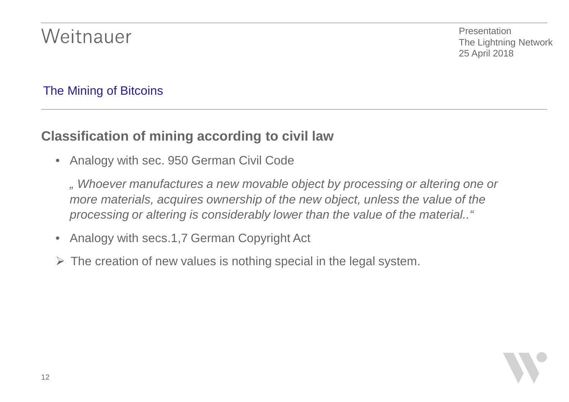Presentation The Lightning Network 25 April 2018

### The Mining of Bitcoins

### **Classification of mining according to civil law**

• Analogy with sec. 950 German Civil Code

*" Whoever manufactures a new movable object by processing or altering one or more materials, acquires ownership of the new object, unless the value of the processing or altering is considerably lower than the value of the material.."*

- Analogy with secs.1,7 German Copyright Act
- $\triangleright$  The creation of new values is nothing special in the legal system.

12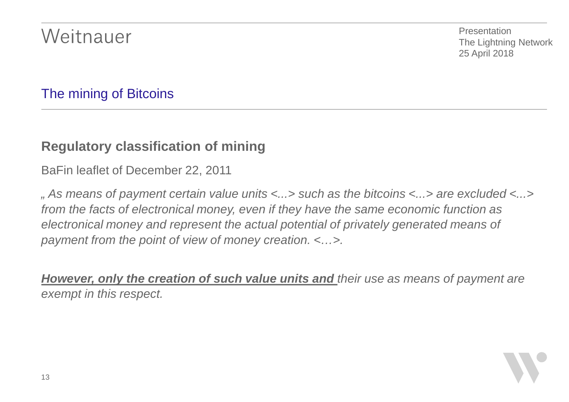Presentation The Lightning Network 25 April 2018

### The mining of Bitcoins

### **Regulatory classification of mining**

BaFin leaflet of December 22, 2011

*" As means of payment certain value units <...> such as the bitcoins <...> are excluded <...> from the facts of electronical money, even if they have the same economic function as electronical money and represent the actual potential of privately generated means of payment from the point of view of money creation. <…>.*

*However, only the creation of such value units and their use as means of payment are exempt in this respect.*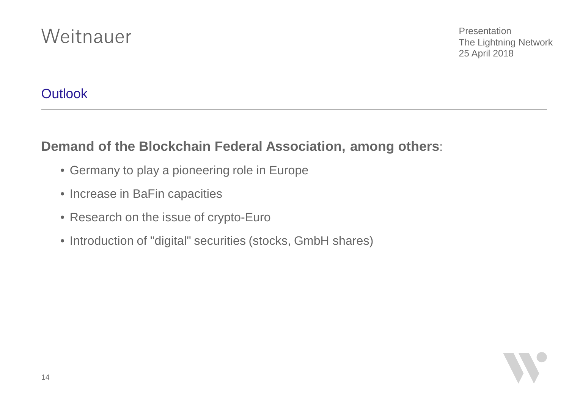**Presentation** The Lightning Network 25 April 2018

### **Outlook**

14

### **Demand of the Blockchain Federal Association, among others**:

- Germany to play a pioneering role in Europe
- Increase in BaFin capacities
- Research on the issue of crypto-Euro
- Introduction of "digital" securities (stocks, GmbH shares)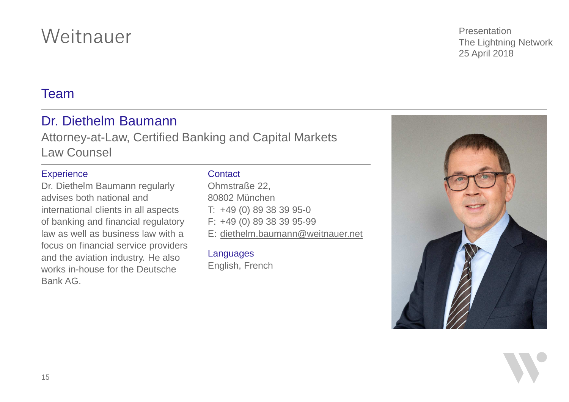#### Team

### Dr. Diethelm Baumann

Attorney-at-Law, Certified Banking and Capital Markets Law Counsel

#### **Experience**

Dr. Diethelm Baumann regularly advises both national and international clients in all aspects of banking and financial regulatory law as well as business law with a focus on financial service providers and the aviation industry. He also works in-house for the Deutsche Bank AG.

#### **Contact**

Ohmstraße 22, 80802 München T: +49 (0) 89 38 39 95-0 F: +49 (0) 89 38 39 95-99 E: [diethelm.baumann@weitnauer.net](mailto:diethelm.baumann@weitnauer.net)

#### Languages

English, French



**Presentation** The Lightning Network 25 April 2018